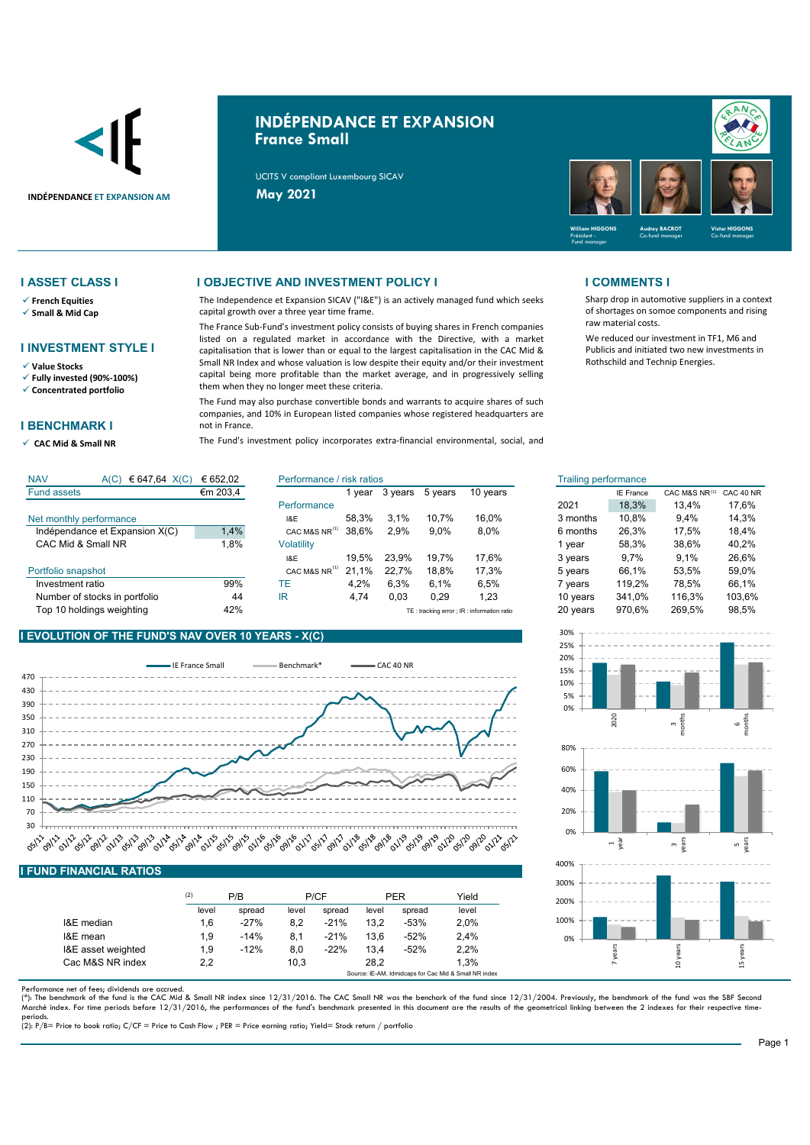

# **INDÉPENDANCE ET EXPANSION France Small**

UCITS V compliant Luxembourg SICAV



Sharp drop in automotive suppliers in a context of shortages on somoe components and rising

We reduced our investment in TF1, M6 and Publicis and initiated two new investments in Rothschild and Technip Energies.

raw material costs.

- **French Equities**
- **Small & Mid Cap**

### **I INVESTMENT STYLE I**

**Value Stocks**

**Fully invested (90%-100%)**

**Concentrated portfolio**

### **I BENCHMARK I**

**CAC Mid & Small NR** 

### **I ASSET CLASS I I OBJECTIVE AND INVESTMENT POLICY I I COMMENTS I**

The Independence et Expansion SICAV ("I&E") is an actively managed fund which seeks capital growth over a three year time frame.

The France Sub-Fund's investment policy consists of buying shares in French companies listed on a regulated market in accordance with the Directive, with a market capitalisation that is lower than or equal to the largest capitalisation in the CAC Mid & Small NR Index and whose valuation is low despite their equity and/or their investment capital being more profitable than the market average, and in progressively selling them when they no longer meet these criteria.

The Fund may also purchase convertible bonds and warrants to acquire shares of such companies, and 10% in European listed companies whose registered headquarters are not in France.

The Fund's investment policy incorporates extra-financial environmental, social, and

| <b>NAV</b><br>€ 647,64 $X(C)$<br>A(C) | € 652.02                    | Performance / risk ratios |              |         |         |          | <b>Trailing performance</b> |                  |               |           |
|---------------------------------------|-----------------------------|---------------------------|--------------|---------|---------|----------|-----------------------------|------------------|---------------|-----------|
| <b>Fund assets</b>                    | €m 203,4                    |                           | vear         | 3 vears | 5 vears | 10 years |                             | <b>IE France</b> | CAC M&S NR(1) | CAC 40 NR |
|                                       |                             | Performance               |              |         |         |          | 2021                        | 18,3%            | 13.4%         | 17.6%     |
| Net monthly performance               |                             | I&E                       | 58.3%        | 3.1%    | 10.7%   | 16.0%    | 3 months                    | 10.8%            | 9.4%          | 14.3%     |
| Indépendance et Expansion X(C)        | 1,4%                        | CAC M&S NR <sup>(4)</sup> | 38.6%        | 2.9%    | $9.0\%$ | 8,0%     | 6 months                    | 26,3%            | 17.5%         | 18.4%     |
| CAC Mid & Small NR                    | ∣.8%                        | Volatility                |              |         |         |          | vear                        | 58.3%            | 38.6%         | 40.2%     |
|                                       |                             | I&E                       | 19.5%        | 23.9%   | 19.7%   | 17.6%    | 3 years                     | $9.7\%$          | 9.1%          | 26.6%     |
| Portfolio snapshot                    |                             | CAC M&S NR <sup>(1)</sup> | $.1\%$<br>21 | 22.7%   | 18.8%   | 17.3%    | 5 years                     | 66.1%            | 53.5%         | 59,0%     |
| Investment ratio                      | 99%                         | TE                        | 4.2%         | 6.3%    | 6.1%    | 6,5%     | 7 vears                     | 119.2%           | 78.5%         | 66.1%     |
| Number of stocks in portfolio         | 44                          | IR                        | 4.74         | 0,03    | 0,29    | 1,23     | 10 years                    | 341.0%           | 116.3%        | 103,6%    |
| _                                     | $\sim$ $\sim$ $\sim$ $\sim$ |                           |              |         |         |          | $ -$                        | $- - - - -$      | $\cdots$      | $- - - -$ |



## **I EVOLUTION OF THE FUND'S NAV OVER 10 YEARS - X(C)**

Top 10 holdings weighting error in the 42%



| <u>ono i inativale iveribo</u> |            |        |       |        |            |        |       |  |
|--------------------------------|------------|--------|-------|--------|------------|--------|-------|--|
|                                | (2)<br>P/B |        | P/CF  |        | <b>PER</b> |        | Yield |  |
|                                | level      | spread | level | spread | level      | spread | level |  |
| I&E median                     | 1.6        | $-27%$ | 8.2   | $-21%$ | 13.2       | $-53%$ | 2,0%  |  |
| I&E mean                       | 1.9        | $-14%$ | 8.1   | $-21%$ | 13.6       | $-52%$ | 2.4%  |  |
| I&E asset weighted             | 1.9        | $-12%$ | 8.0   | $-22%$ | 13.4       | $-52%$ | 2,2%  |  |
| Cac M&S NR index               | 2.2        |        | 10.3  |        | 28.2       |        | 1.3%  |  |

Performance net of fees; dividends are accrued.<br>(\*): The benchmark of the fund is the CAC Mid & Small NR index since 12/31/2016. The CAC Small NR was the benchark of the fund since 12/31/2004. Previously, the benchmark of Marché index. For time periods before 12/31/2016, the performances of the fund's benchmark presented in this document are the results of the geometrical linking between the 2 indexes for their respective time-

Source: IE-AM, Idmidcaps for Cac Mid & Small NR index

periods. (2): P/B= Price to book ratio; C/CF = Price to Cash Flow ; PER = Price earning ratio; Yield= Stock return / portfolio